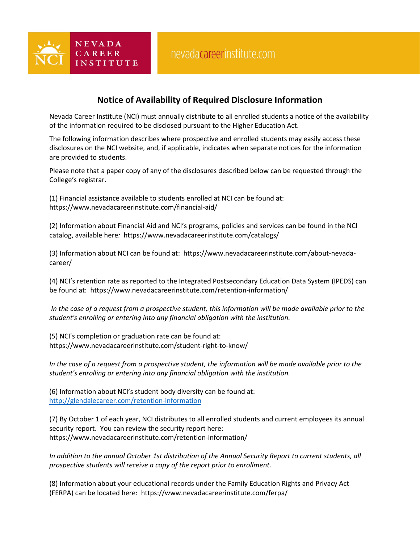## **Notice of Availability of Required Disclosure Information**

Nevada Career Institute (NCI) must annually distribute to all enrolled students a notice of the availability of the information required to be disclosed pursuant to the Higher Education Act.

The following information describes where prospective and enrolled students may easily access these disclosures on the NCI website, and, if applicable, indicates when separate notices for the information are provided to students.

Please note that a paper copy of any of the disclosures described below can be requested through the College's registrar.

(1) Financial assistance available to students enrolled at NCI can be found at: https://www.nevadacareerinstitute.com/financial-aid/

 $N E V A D A$ 

CAREER

**INSTITUTE** 

(2) Information about Financial Aid and NCI's programs, policies and services can be found in the NCI catalog, available here*:* https://www.nevadacareerinstitute.com/catalogs/

(3) Information about NCI can be found at: https://www.nevadacareerinstitute.com/about-nevadacareer/

(4) NCI's retention rate as reported to the Integrated Postsecondary Education Data System (IPEDS) can be found at: https://www.nevadacareerinstitute.com/retention-information/

*In the case of a request from a prospective student, this information will be made available prior to the student's enrolling or entering into any financial obligation with the institution.*

(5) NCI's completion or graduation rate can be found at: https://www.nevadacareerinstitute.com/student-right-to-know/

*In the case of a request from a prospective student, the information will be made available prior to the student's enrolling or entering into any financial obligation with the institution.*

(6) Information about NCI's student body diversity can be found at: <http://glendalecareer.com/retention-information>

(7) By October 1 of each year, NCI distributes to all enrolled students and current employees its annual security report. You can review the security report here: https://www.nevadacareerinstitute.com/retention-information/

*In addition to the annual October 1st distribution of the Annual Security Report to current students, all prospective students will receive a copy of the report prior to enrollment.*

(8) Information about your educational records under the Family Education Rights and Privacy Act (FERPA) can be located here: [https://www.nevadacareerinstitute.com/ferpa/](http://glendalecareer.com/ferpa)